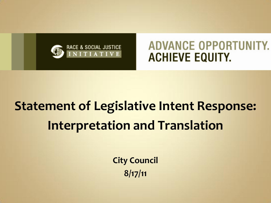

# **Statement of Legislative Intent Response: Interpretation and Translation**

**City Council 8/17/11**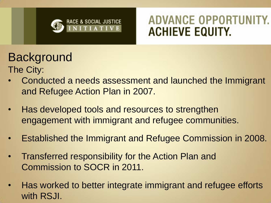

### **Background**

- The City:
- Conducted a needs assessment and launched the Immigrant and Refugee Action Plan in 2007.
- Has developed tools and resources to strengthen engagement with immigrant and refugee communities.
- Established the Immigrant and Refugee Commission in 2008.
- Transferred responsibility for the Action Plan and Commission to SOCR in 2011.
- Has worked to better integrate immigrant and refugee efforts with RSJI.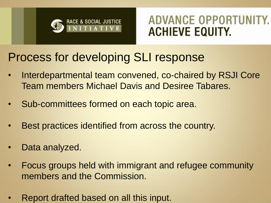

#### Process for developing SLI response

- Interdepartmental team convened, co-chaired by RSJI Core Team members Michael Davis and Desiree Tabares.
- Sub-committees formed on each topic area.
- Best practices identified from across the country.
- Data analyzed.
- Focus groups held with immigrant and refugee community members and the Commission.
- Report drafted based on all this input.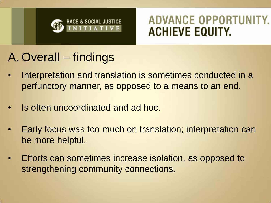

### A. Overall – findings

- Interpretation and translation is sometimes conducted in a perfunctory manner, as opposed to a means to an end.
- Is often uncoordinated and ad hoc.
- Early focus was too much on translation; interpretation can be more helpful.
- Efforts can sometimes increase isolation, as opposed to strengthening community connections.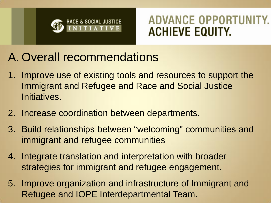

### A. Overall recommendations

- 1. Improve use of existing tools and resources to support the Immigrant and Refugee and Race and Social Justice Initiatives.
- 2. Increase coordination between departments.
- 3. Build relationships between "welcoming" communities and immigrant and refugee communities
- 4. Integrate translation and interpretation with broader strategies for immigrant and refugee engagement.
- 5. Improve organization and infrastructure of Immigrant and Refugee and IOPE Interdepartmental Team.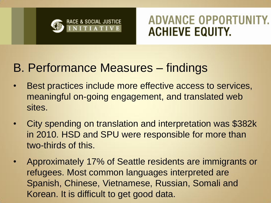

#### B. Performance Measures – findings

- Best practices include more effective access to services, meaningful on-going engagement, and translated web sites.
- City spending on translation and interpretation was \$382k in 2010. HSD and SPU were responsible for more than two-thirds of this.
- Approximately 17% of Seattle residents are immigrants or refugees. Most common languages interpreted are Spanish, Chinese, Vietnamese, Russian, Somali and Korean. It is difficult to get good data.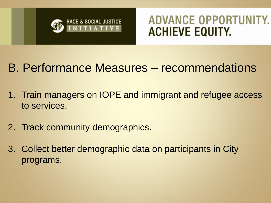

### B. Performance Measures – recommendations

- 1. Train managers on IOPE and immigrant and refugee access to services.
- 2. Track community demographics.
- 3. Collect better demographic data on participants in City programs.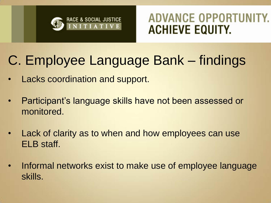

## C. Employee Language Bank – findings

- Lacks coordination and support.
- Participant's language skills have not been assessed or monitored.
- Lack of clarity as to when and how employees can use ELB staff.
- Informal networks exist to make use of employee language skills.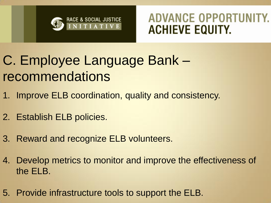

## C. Employee Language Bank – recommendations

- 1. Improve ELB coordination, quality and consistency.
- 2. Establish ELB policies.
- 3. Reward and recognize ELB volunteers.
- 4. Develop metrics to monitor and improve the effectiveness of the ELB.
- 5. Provide infrastructure tools to support the ELB.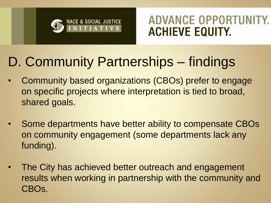

## D. Community Partnerships – findings

- Community based organizations (CBOs) prefer to engage on specific projects where interpretation is tied to broad, shared goals.
- Some departments have better ability to compensate CBOs on community engagement (some departments lack any funding).
- The City has achieved better outreach and engagement results when working in partnership with the community and CBOs.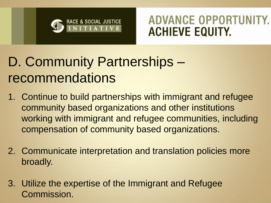

## D. Community Partnerships – recommendations

- 1. Continue to build partnerships with immigrant and refugee community based organizations and other institutions working with immigrant and refugee communities, including compensation of community based organizations.
- 2. Communicate interpretation and translation policies more broadly.
- 3. Utilize the expertise of the Immigrant and Refugee Commission.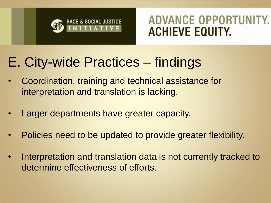

## E. City-wide Practices – findings

- Coordination, training and technical assistance for interpretation and translation is lacking.
- Larger departments have greater capacity.
- Policies need to be updated to provide greater flexibility.
- Interpretation and translation data is not currently tracked to determine effectiveness of efforts.

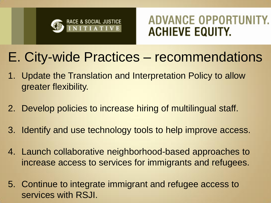

### E. City-wide Practices – recommendations

- 1. Update the Translation and Interpretation Policy to allow greater flexibility.
- 2. Develop policies to increase hiring of multilingual staff.
- 3. Identify and use technology tools to help improve access.
- 4. Launch collaborative neighborhood-based approaches to increase access to services for immigrants and refugees.
- 5. Continue to integrate immigrant and refugee access to services with RSJI.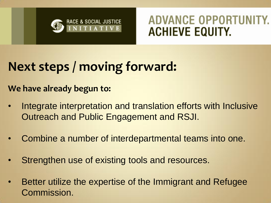

### **Next steps / moving forward:**

**We have already begun to:**

- Integrate interpretation and translation efforts with Inclusive Outreach and Public Engagement and RSJI.
- Combine a number of interdepartmental teams into one.
- Strengthen use of existing tools and resources.
- Better utilize the expertise of the Immigrant and Refugee Commission.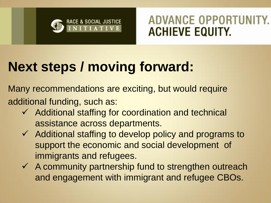

## **Next steps / moving forward:**

Many recommendations are exciting, but would require additional funding, such as:

- $\checkmark$  Additional staffing for coordination and technical assistance across departments.
- $\checkmark$  Additional staffing to develop policy and programs to support the economic and social development of immigrants and refugees.
- $\checkmark$  A community partnership fund to strengthen outreach and engagement with immigrant and refugee CBOs.